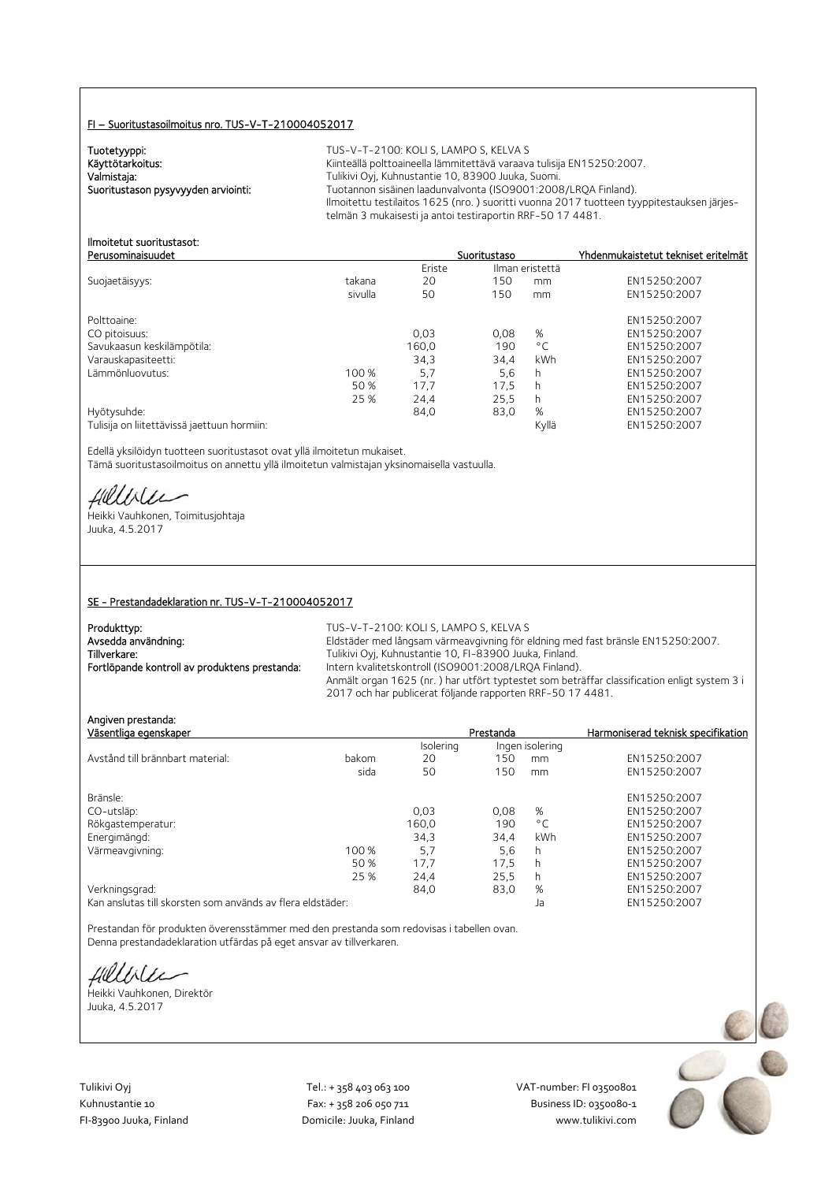## FI – Suoritustasoilmoitus nro. TUS-V-T-210004052017

Tuotetyyppi:<br>Käyttötarkoitus:

TUS-V-T-2100: KOLI S, LAMPO S, KELVA S Käyttötarkoitus: Käyttötarkoitus: Käyttötarkoitus: Käyttötarkoitus: Käyttötarkoitus: Käyttötarkoitus: Käyttöta<br>Kalmistaja: Käyttötävä Tulikivi Oyj, Kuhnustantie 10, 83900 Juuka, Suomi. Valmistaja: Valmistaja: Tulikivi Oyj, Kuhnustantie 10, 83900 Juuka, Suomi.<br>2008–1:2008 Tuotannon sisäinen laadunvalvonta (ISO9001:2008 Tuotannon sisäinen laadunvalvonta (ISO9001:2008/LRQA Finland). Ilmoitettu testilaitos 1625 (nro. ) suoritti vuonna 2017 tuotteen tyyppitestauksen järjestelmän 3 mukaisesti ja antoi testiraportin RRF-50 17 4481.

#### Ilmoitetut suoritustasot: Perusominaisuudet Suoritustaso Yhdenmukaistetut tekniset eritelmät

|                                             |         | Eriste | Ilman eristettä |              |              |
|---------------------------------------------|---------|--------|-----------------|--------------|--------------|
| Suojaetäisyys:                              | takana  | 20     | 150             | mm           | EN15250:2007 |
|                                             | sivulla | 50     | 150             | mm           | EN15250:2007 |
| Polttoaine:                                 |         |        |                 |              | EN15250:2007 |
| CO pitoisuus:                               |         | 0,03   | 0,08            | %            | EN15250:2007 |
| Savukaasun keskilämpötila:                  |         | 160,0  | 190             | $^{\circ}$ C | EN15250:2007 |
| Varauskapasiteetti:                         |         | 34,3   | 34.4            | kWh          | EN15250:2007 |
| Lämmönluovutus:                             | 100 %   | 5,7    | 5,6             | h            | EN15250:2007 |
|                                             | 50 %    | 17.7   | 17.5            | h            | EN15250:2007 |
|                                             | 25 %    | 24.4   | 25.5            | h            | EN15250:2007 |
| Hyötysuhde:                                 |         | 84,0   | 83,0            | %            | EN15250:2007 |
| Tulisija on liitettävissä jaettuun hormiin: |         |        |                 | Kyllä        | EN15250:2007 |

Edellä yksilöidyn tuotteen suoritustasot ovat yllä ilmoitetun mukaiset. Tämä suoritustasoilmoitus on annettu yllä ilmoitetun valmistajan yksinomaisella vastuulla.

fillble

Heikki Vauhkonen, Toimitusjohtaja Juuka, 4.5.2017

## SE - Prestandadeklaration nr. TUS-V-T-210004052017

| Produkttyp:                                   | TUS-V-T-2100: KOLI S. LAMPO S. KELVA S                                                      |
|-----------------------------------------------|---------------------------------------------------------------------------------------------|
| Avsedda användning:                           | Eldstäder med långsam värmeavgivning för eldning med fast bränsle EN15250:2007.             |
| Tillverkare:                                  | Tulikivi Oyj, Kuhnustantie 10, FI-83900 Juuka, Finland.                                     |
| Fortlöpande kontroll av produktens prestanda: | Intern kvalitetskontroll (ISO9001:2008/LRQA Finland).                                       |
|                                               | Anmält organ 1625 (nr.) har utfört typtestet som beträffar classification enligt system 3 i |
|                                               | 2017 och har publicerat följande rapporten RRF-50 17 4481.                                  |

| Angiven prestanda:<br>Väsentliga egenskaper |       |           | Prestanda |                 | Harmoniserad teknisk specifikation |
|---------------------------------------------|-------|-----------|-----------|-----------------|------------------------------------|
|                                             |       | Isolering |           | Ingen isolering |                                    |
| Avstånd till brännbart material:            | bakom | 20        | 150       | mm              | EN15250:2007                       |
|                                             | sida  | 50        | 150       | mm              | EN15250:2007                       |
| Bränsle:                                    |       |           |           |                 | EN15250:2007                       |
| CO-utsläp:                                  |       | 0,03      | 0.08      | %               | EN15250:2007                       |
| Rökgastemperatur:                           |       | 160.0     | 190       | $^{\circ}$ C    | EN15250:2007                       |
| Energimängd:                                |       | 34,3      | 34,4      | kWh             | EN15250:2007                       |
| Värmeavgivning:                             | 100 % | 5,7       | 5,6       | h               | EN15250:2007                       |
|                                             | 50 %  | 17.7      | 17.5      | h               | EN15250:2007                       |
|                                             | 25 %  | 24,4      | 25,5      | h               | EN15250:2007                       |
| Verkningsgrad:                              |       | 84,0      | 83,0      | %               | EN15250:2007                       |
|                                             |       |           |           |                 |                                    |

Kan anslutas till skorsten som används av flera eldstäder: Ja EN15250:2007

Prestandan för produkten överensstämmer med den prestanda som redovisas i tabellen ovan. Denna prestandadeklaration utfärdas på eget ansvar av tillverkaren.

fielliter

Heikki Vauhkonen, Direktör Juuka, 4.5.2017

Tulikivi Oyj Tel.: + 358 403 063 100 VAT‐number: FI 03500801

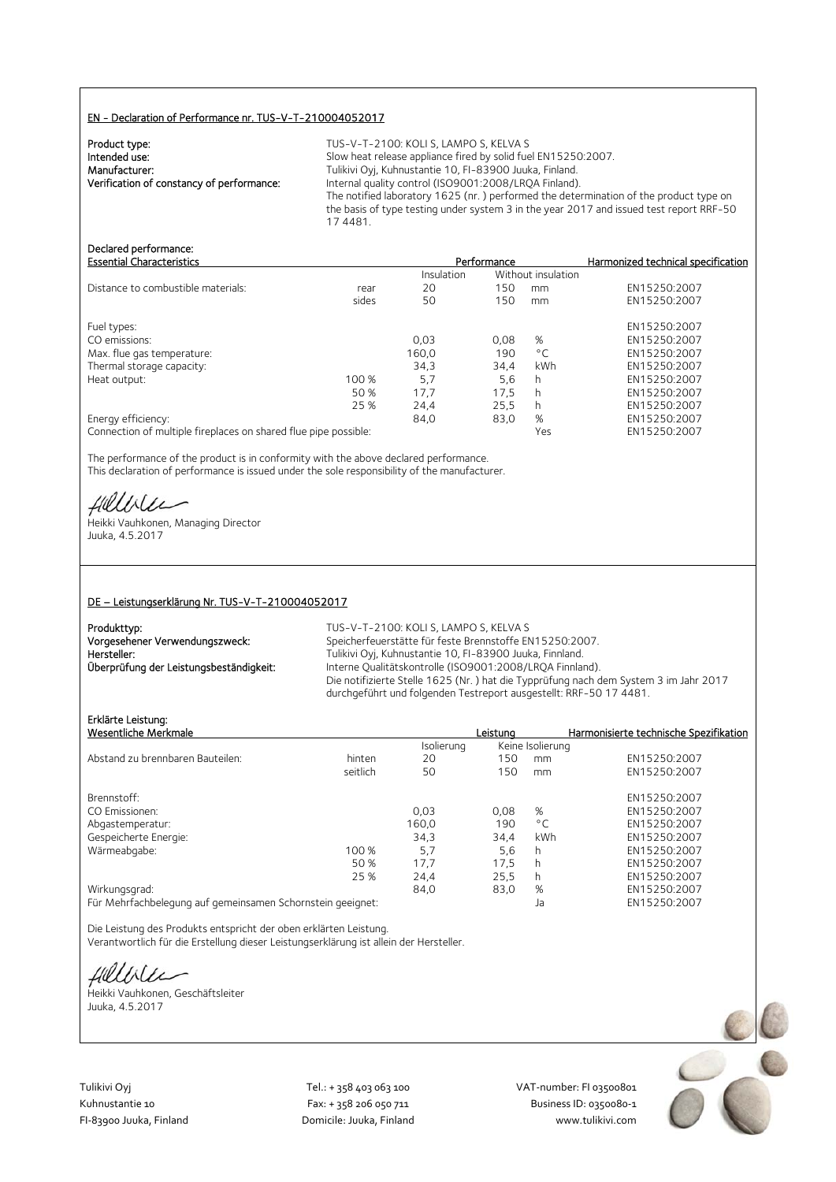# EN - Declaration of Performance nr. TUS-V-T-210004052017

| Product type:                             | TU  |
|-------------------------------------------|-----|
| Intended use:                             | Slo |
| Manufacturer:                             | Tul |
| Verification of constancy of performance: | Int |
|                                           | тh, |

S-V-T-2100: KOLI S, LAMPO S, KELVA S Interded use: Slow heat release appliance fired by solid fuel EN15250:2007. likivi Oyj, Kuhnustantie 10, FI-83900 Juuka, Finland. mary of final quality control (ISO9001:2008/LRQA Finland). The notified laboratory 1625 (nr. ) performed the determination of the product type on the basis of type testing under system 3 in the year 2017 and issued test report RRF-50 17 4481.

# Declared performance:<br>Essential Characteristics

| <b>Essential Characteristics</b>   |       |            | Performance |                    | Harmonized technical specification |
|------------------------------------|-------|------------|-------------|--------------------|------------------------------------|
|                                    |       | Insulation |             | Without insulation |                                    |
| Distance to combustible materials: | rear  | 20         | 150         | mm                 | EN15250:2007                       |
|                                    | sides | 50         | 150         | mm                 | EN15250:2007                       |
| Fuel types:                        |       |            |             |                    | EN15250:2007                       |
| CO emissions:                      |       | 0,03       | 0.08        | %                  | EN15250:2007                       |
| Max. flue gas temperature:         |       | 160.0      | 190         | $^{\circ}$ C       | EN15250:2007                       |
| Thermal storage capacity:          |       | 34.3       | 34.4        | <b>kWh</b>         | EN15250:2007                       |
| Heat output:                       | 100 % | 5,7        | 5,6         | h                  | EN15250:2007                       |
|                                    | 50 %  | 17,7       | 17.5        | h                  | EN15250:2007                       |
|                                    | 25 %  | 24,4       | 25.5        | h                  | EN15250:2007                       |
| Energy efficiency:                 |       | 84.0       | 83,0        | %                  | EN15250:2007                       |
|                                    |       |            |             |                    |                                    |

Connection of multiple fireplaces on shared flue pipe possible: Yes EN15250:2007

The performance of the product is in conformity with the above declared performance. This declaration of performance is issued under the sole responsibility of the manufacturer.

HUULLEE<br>Heikki Vauhkonen, Managing Director

Juuka, 4.5.2017

## DE – Leistungserklärung Nr. TUS-V-T-210004052017

| Produkttyp:                             | TUS-V-T-2100: KOLI S, LAMPO S, KELVA S                                                                                                                     |
|-----------------------------------------|------------------------------------------------------------------------------------------------------------------------------------------------------------|
| Vorgesehener Verwendungszweck:          | Speicherfeuerstätte für feste Brennstoffe EN15250:2007.                                                                                                    |
| Hersteller:                             | Tulikivi Oyj, Kuhnustantie 10, FI-83900 Juuka, Finnland.                                                                                                   |
| Überprüfung der Leistungsbeständigkeit: | Interne Qualitätskontrolle (ISO9001:2008/LROA Finnland).                                                                                                   |
|                                         | Die notifizierte Stelle 1625 (Nr.) hat die Typprüfung nach dem System 3 im Jahr 2017<br>durchgeführt und folgenden Testreport ausgestellt: RRF-50 17 4481. |

# Erklärte Leistung:

|                                                            | Leistuna |              | Harmonisierte technische Spezifikation |
|------------------------------------------------------------|----------|--------------|----------------------------------------|
|                                                            |          |              |                                        |
| 20                                                         | 150      | mm           | EN15250:2007                           |
| 50                                                         | 150      | mm           | EN15250:2007                           |
|                                                            |          |              | EN15250:2007                           |
| 0.03                                                       | 0.08     | %            | EN15250:2007                           |
| 160,0                                                      | 190      | $^{\circ}$ C | EN15250:2007                           |
| 34.3                                                       | 34.4     | kWh          | EN15250:2007                           |
| 5.7                                                        | 5,6      | h            | EN15250:2007                           |
| 17,7                                                       | 17,5     | h            | EN15250:2007                           |
| 24,4                                                       | 25,5     | h            | EN15250:2007                           |
| 84.0                                                       | 83,0     | %            | EN15250:2007                           |
| Für Mehrfachbelegung auf gemeinsamen Schornstein geeignet: |          | Ja           | EN15250:2007                           |
|                                                            |          | Isolierung   | Keine Isolierung                       |

Die Leistung des Produkts entspricht der oben erklärten Leistung. Verantwortlich für die Erstellung dieser Leistungserklärung ist allein der Hersteller.

fillblu

Heikki Vauhkonen, Geschäftsleiter Juuka, 4.5.2017



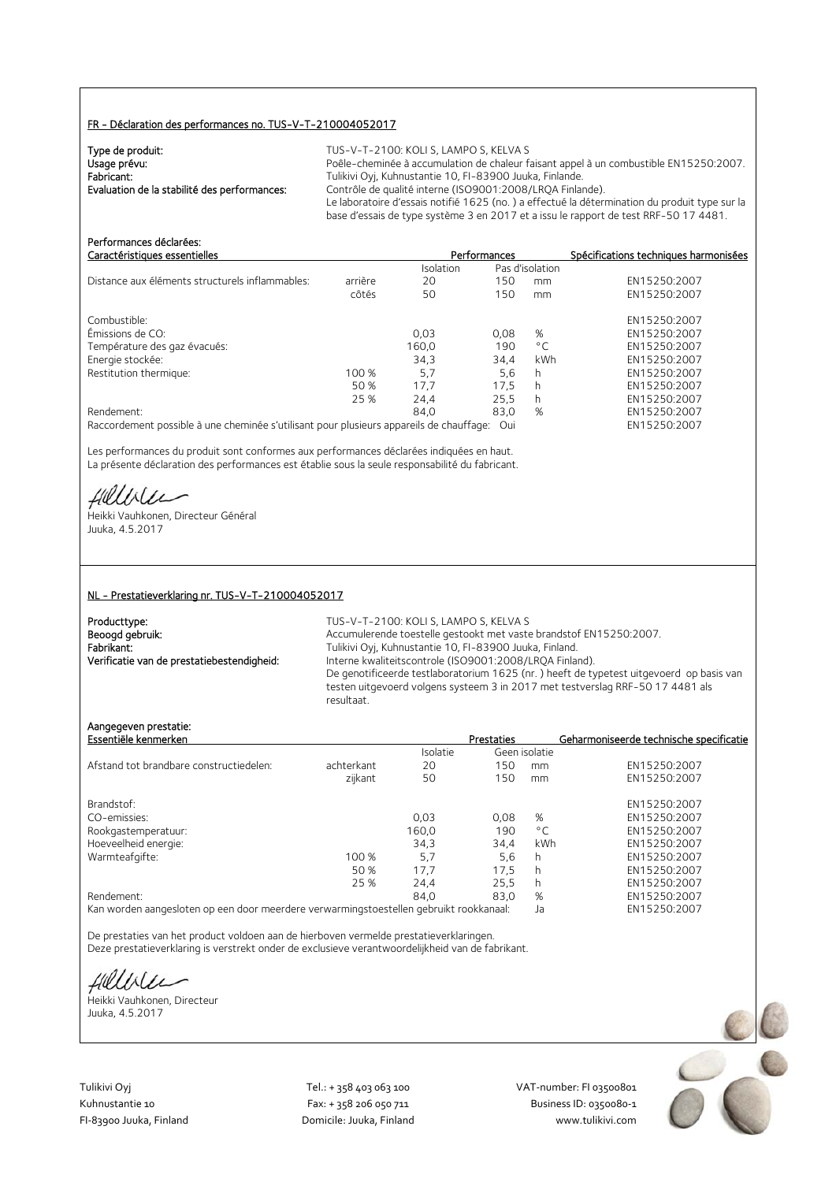# FR - Déclaration des performances no. TUS-V-T-210004052017

| Type de produit:                             | TUS-V-T-2100: KOLI S. LAMPO S. KELVA S                                                        |
|----------------------------------------------|-----------------------------------------------------------------------------------------------|
| Usage prévu:                                 | Poêle-cheminée à accumulation de chaleur faisant appel à un combustible EN15250:2007.         |
| Fabricant:                                   | Tulikivi Oyj, Kuhnustantie 10, FI-83900 Juuka, Finlande.                                      |
| Evaluation de la stabilité des performances: | Contrôle de qualité interne (ISO9001:2008/LROA Finlande).                                     |
|                                              | Le laboratoire d'essais notifié 1625 (no.) a effectué la détermination du produit type sur la |
|                                              | base d'essais de type système 3 en 2017 et a issu le rapport de test RRF-50 17 4481.          |

| Caractéristiques essentielles                                                           |         |           | Performances |                 | Spécifications techniques harmonisées |
|-----------------------------------------------------------------------------------------|---------|-----------|--------------|-----------------|---------------------------------------|
|                                                                                         |         | Isolation |              | Pas d'isolation |                                       |
| Distance aux éléments structurels inflammables:                                         | arrière | 20        | 150          | mm              | EN15250:2007                          |
|                                                                                         | côtés   | 50        | 150          | mm              | EN15250:2007                          |
| Combustible:                                                                            |         |           |              |                 | EN15250:2007                          |
| Émissions de CO:                                                                        |         | 0.03      | 0.08         | %               | EN15250:2007                          |
| Température des gaz évacués:                                                            |         | 160.0     | 190          | $^{\circ}$ C    | EN15250:2007                          |
| Energie stockée:                                                                        |         | 34,3      | 34.4         | kWh             | EN15250:2007                          |
| Restitution thermique:                                                                  | 100 %   | 5,7       | 5,6          | h               | EN15250:2007                          |
|                                                                                         | 50 %    | 17.7      | 17.5         | h               | EN15250:2007                          |
|                                                                                         | 25 %    | 24.4      | 25.5         | h               | EN15250:2007                          |
| Rendement:                                                                              |         | 84.0      | 83,0         | %               | EN15250:2007                          |
| Raccordement possible à une cheminée s'utilisant pour plusieurs appareils de chauffage: |         |           | Oui          |                 | EN15250:2007                          |

Les performances du produit sont conformes aux performances déclarées indiquées en haut. La présente déclaration des performances est établie sous la seule responsabilité du fabricant.

Hillble

Performances déclarées:

Heikki Vauhkonen, Directeur Général Juuka, 4.5.2017

#### NL - Prestatieverklaring nr. TUS-V-T-210004052017

| Producttype:                               |
|--------------------------------------------|
| Beoogd gebruik:                            |
| Fabrikant:                                 |
| Verificatie van de prestatiebestendigheid: |

TUS-V-T-2100: KOLI S, LAMPO S, KELVA S Accumulerende toestelle gestookt met vaste brandstof EN15250:2007. Fabrikant: Tulikivi Oyj, Kuhnustantie 10, FI-83900 Juuka, Finland. Interne kwaliteitscontrole (ISO9001:2008/LRQA Finland). De genotificeerde testlaboratorium 1625 (nr. ) heeft de typetest uitgevoerd op basis van testen uitgevoerd volgens systeem 3 in 2017 met testverslag RRF-50 17 4481 als resultaat.

# Aangegeven prestatie:

| Essentiële kenmerken                    |            |          | <b>Prestaties</b> |               | Geharmoniseerde technische specificatie |
|-----------------------------------------|------------|----------|-------------------|---------------|-----------------------------------------|
|                                         |            | Isolatie |                   | Geen isolatie |                                         |
| Afstand tot brandbare constructiedelen: | achterkant | 20       | 150               | mm            | EN15250:2007                            |
|                                         | zijkant    | 50       | 150               | mm            | EN15250:2007                            |
| Brandstof:                              |            |          |                   |               | EN15250:2007                            |
| CO-emissies:                            |            | 0.03     | 0.08              | %             | EN15250:2007                            |
| Rookgastemperatuur:                     |            | 160.0    | 190               | $^{\circ}$ C  | EN15250:2007                            |
| Hoeveelheid energie:                    |            | 34,3     | 34.4              | kWh           | EN15250:2007                            |
| Warmteafgifte:                          | 100 %      | 5.7      | 5,6               | h             | EN15250:2007                            |
|                                         | 50 %       | 17.7     | 17.5              | h             | EN15250:2007                            |
|                                         | 25 %       | 24.4     | 25.5              | h             | EN15250:2007                            |
| Rendement:                              |            | 84.0     | 83.0              | %             | EN15250:2007                            |
|                                         |            |          |                   |               |                                         |

Kan worden aangesloten op een door meerdere verwarmingstoestellen gebruikt rookkanaal: Ja EN15250:2007

De prestaties van het product voldoen aan de hierboven vermelde prestatieverklaringen. Deze prestatieverklaring is verstrekt onder de exclusieve verantwoordelijkheid van de fabrikant.

Hillble

Heikki Vauhkonen, Directeur Juuka, 4.5.2017

Tulikivi Oyj Tel.: + 358 403 063 100 VAT‐number: FI 03500801

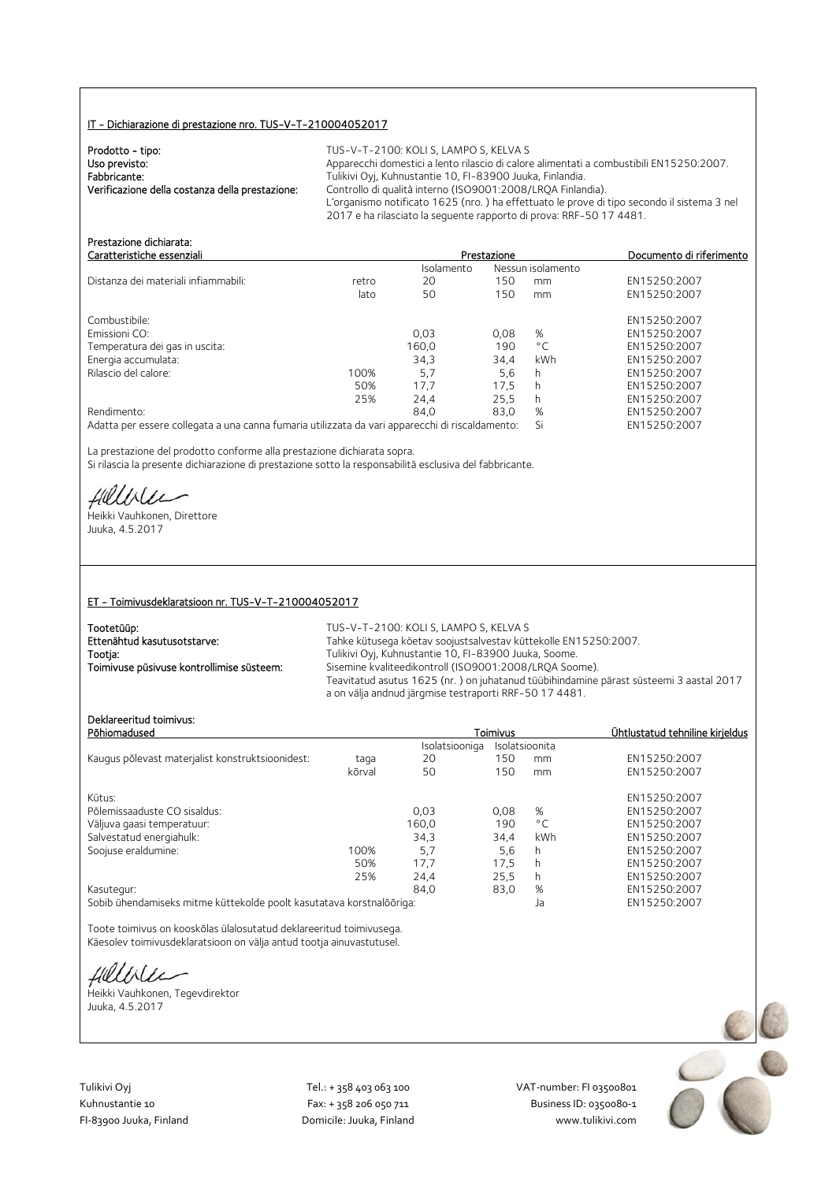# IT - Dichiarazione di prestazione nro. TUS-V-T-210004052017

| Prodotto - tipo:                                | TUS-V-T-2100: KOLI S, LAMPO S, KELVA S                                                                                                                            |
|-------------------------------------------------|-------------------------------------------------------------------------------------------------------------------------------------------------------------------|
| Uso previsto:                                   | Apparecchi domestici a lento rilascio di calore alimentati a combustibili EN15250:2007.                                                                           |
| Fabbricante:                                    | Tulikivi Oyi, Kuhnustantie 10, FI-83900 Juuka, Finlandia.                                                                                                         |
| Verificazione della costanza della prestazione: | Controllo di qualità interno (ISO9001:2008/LROA Finlandia).                                                                                                       |
|                                                 | L'organismo notificato 1625 (nro.) ha effettuato le prove di tipo secondo il sistema 3 nel<br>2017 e ha rilasciato la sequente rapporto di prova: RRF-50 17 4481. |

| Prestazione dichiarata:<br>Caratteristiche essenziali                                           |       |            | Prestazione |                   | Documento di riferimento |
|-------------------------------------------------------------------------------------------------|-------|------------|-------------|-------------------|--------------------------|
|                                                                                                 |       | Isolamento |             | Nessun isolamento |                          |
| Distanza dei materiali infiammabili:                                                            | retro | 20         | 150         | mm                | EN15250:2007             |
|                                                                                                 | lato  | 50         | 150         | mm                | EN15250:2007             |
| Combustibile:                                                                                   |       |            |             |                   | EN15250:2007             |
| Emissioni CO:                                                                                   |       | 0.03       | 0.08        | %                 | EN15250:2007             |
| Temperatura dei gas in uscita:                                                                  |       | 160.0      | 190         | $^{\circ}$ C      | EN15250:2007             |
| Energia accumulata:                                                                             |       | 34,3       | 34.4        | kWh               | EN15250:2007             |
| Rilascio del calore:                                                                            | 100%  | 5.7        | 5,6         | h                 | EN15250:2007             |
|                                                                                                 | 50%   | 17.7       | 17.5        | h                 | EN15250:2007             |
|                                                                                                 | 25%   | 24.4       | 25.5        | h.                | EN15250:2007             |
| Rendimento:                                                                                     |       | 84.0       | 83.0        | %                 | EN15250:2007             |
| Adatta per essere collegata a una canna fumaria utilizzata da vari apparecchi di riscaldamento: |       |            |             | Si                | EN15250:2007             |

La prestazione del prodotto conforme alla prestazione dichiarata sopra. Si rilascia la presente dichiarazione di prestazione sotto la responsabilità esclusiva del fabbricante.

Hillbler

Heikki Vauhkonen, Direttore Juuka, 4.5.2017

## ET - Toimivusdeklaratsioon nr. TUS-V-T-210004052017

| Tootetüüp:<br>Ettenähtud kasutusotstarve: | TUS-V-T-2100: KOLI S, LAMPO S, KELVA S<br>Tahke kütusega köetav soojustsalvestav küttekolle EN15250:2007.                                                                                                  |
|-------------------------------------------|------------------------------------------------------------------------------------------------------------------------------------------------------------------------------------------------------------|
| Tootja:                                   | Tulikivi Oyj, Kuhnustantie 10, FI-83900 Juuka, Soome.                                                                                                                                                      |
| Toimivuse püsivuse kontrollimise süsteem: | Sisemine kvaliteedikontroll (ISO9001:2008/LROA Soome).<br>Teavitatud asutus 1625 (nr.) on juhatanud tüübihindamine pärast süsteemi 3 aastal 2017<br>a on välja andnud järgmise testraporti RRF-50 17 4481. |

# Deklareeritud toimivus:

| Põhiomadused                                     |        | Toimivus       |      | Ühtlustatud tehniline kirieldus |              |
|--------------------------------------------------|--------|----------------|------|---------------------------------|--------------|
|                                                  |        | Isolatsiooniga |      | Isolatsioonita                  |              |
| Kaugus põlevast materjalist konstruktsioonidest: | taqa   | 20             | 150  | mm                              | EN15250:2007 |
|                                                  | kõrval | 50             | 150  | mm                              | EN15250:2007 |
| Kütus:                                           |        |                |      |                                 | EN15250:2007 |
| Põlemissaaduste CO sisaldus:                     |        | 0.03           | 0.08 | %                               | EN15250:2007 |
| Väljuva gaasi temperatuur:                       |        | 160.0          | 190  | $^{\circ}$ C                    | EN15250:2007 |
| Salvestatud energiahulk:                         |        | 34,3           | 34.4 | kWh                             | EN15250:2007 |
| Soojuse eraldumine:                              | 100%   | 5.7            | 5.6  | h                               | EN15250:2007 |
|                                                  | 50%    | 17,7           | 17,5 | h                               | EN15250:2007 |
|                                                  | 25%    | 24,4           | 25,5 | h                               | EN15250:2007 |
| Kasutegur:                                       |        | 84.0           | 83,0 | %                               | EN15250:2007 |
|                                                  |        |                |      |                                 |              |

Sobib ühendamiseks mitme küttekolde poolt kasutatava korstnalõõriga: Ja EN15250:2007

Toote toimivus on kooskõlas ülalosutatud deklareeritud toimivusega. Käesolev toimivusdeklaratsioon on välja antud tootja ainuvastutusel.

fillbile

Heikki Vauhkonen, Tegevdirektor Juuka, 4.5.2017

Tulikivi Oyj Tel.: + 358 403 063 100 VAT‐number: FI 03500801

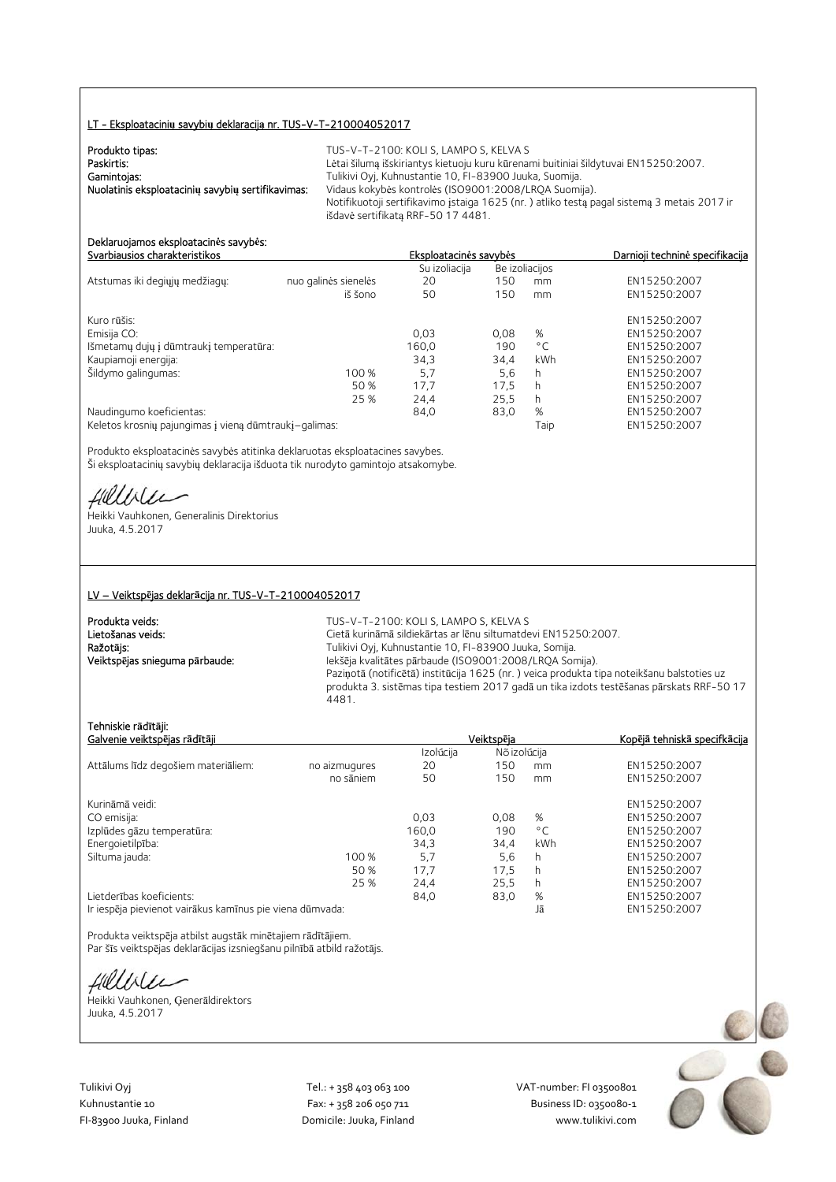# LT - Eksploatacini**ų** savybi**ų** deklaracij**ą** nr. TUS-V-T-210004052017

| Produkto tipas:                                   | TUS-V-T-2100: KOLI S. LAMPO S. KELVA S                                                     |
|---------------------------------------------------|--------------------------------------------------------------------------------------------|
|                                                   |                                                                                            |
| Paskirtis:                                        | Lėtai šilumą išskiriantys kietuoju kuru kūrenami buitiniai šildytuvai EN15250:2007.        |
| Gamintojas:                                       | Tulikivi Oyj, Kuhnustantie 10, FI-83900 Juuka, Suomija.                                    |
| Nuolatinis eksploatacinių savybių sertifikavimas: | Vidaus kokybės kontrolės (ISO9001:2008/LROA Suomija).                                      |
|                                                   | Notifikuotoji sertifikavimo įstaiga 1625 (nr.) atliko testą pagal sistemą 3 metais 2017 ir |
|                                                   | išdavė sertifikata RRF-50 17 4481.                                                         |

#### Deklaruojamos eksploatacin**ė**s savyb**ė**s: Svarbiausios charakteristikos Eksploatacin**ė**s savyb**ė**s Darnioji technin**ė** specifikacija

|                                                       |                      | Su izoliacija |      | Be izoliacijos |              |
|-------------------------------------------------------|----------------------|---------------|------|----------------|--------------|
| Atstumas iki degiųjų medžiagų:                        | nuo galinės sienelės | 20            | 150  | mm             | EN15250:2007 |
|                                                       | iš šono              | 50            | 150  | mm             | EN15250:2007 |
| Kuro rūšis:                                           |                      |               |      |                | EN15250:2007 |
| Emisija CO:                                           |                      | 0.03          | 0.08 | %              | EN15250:2007 |
| Išmetamų dujų į dūmtraukį temperatūra:                |                      | 160,0         | 190  | $^{\circ}$ C   | EN15250:2007 |
| Kaupiamoji energija:                                  |                      | 34,3          | 34.4 | kWh            | EN15250:2007 |
| Šildymo galingumas:                                   | 100%                 | 5,7           | 5,6  | h              | EN15250:2007 |
|                                                       | 50 %                 | 17.7          | 17.5 | h              | EN15250:2007 |
|                                                       | 25 %                 | 24.4          | 25.5 | h.             | EN15250:2007 |
| Naudingumo koeficientas:                              |                      | 84,0          | 83,0 | %              | EN15250:2007 |
| Keletos krosnių pajungimas į vieną dūmtraukį–galimas: |                      |               |      | Taip           | EN15250:2007 |

Produkto eksploatacinės savybės atitinka deklaruotas eksploatacines savybes. Ši eksploatacinių savybių deklaracija išduota tik nurodyto gamintojo atsakomybe.

Hillble

Heikki Vauhkonen, Generalinis Direktorius Juuka, 4.5.2017

#### LV – Veiktsp**ē**jas deklar**ā**cija nr. TUS-V-T-210004052017

| Produkta veids:                | TUS-V-T-2100: KOLI S. LAMPO S. KELVA S                                                    |
|--------------------------------|-------------------------------------------------------------------------------------------|
| Lietošanas veids:              | Cietā kurināmā sildiekārtas ar lēnu siltumatdevi EN15250:2007.                            |
| Ražotājs:                      | Tulikivi Oyj, Kuhnustantie 10, FI-83900 Juuka, Somija.                                    |
| Veiktspējas snieguma pārbaude: | lekšēja kvalitātes pārbaude (ISO9001:2008/LRQA Somija).                                   |
|                                | Paziņotā (notificētā) institūcija 1625 (nr.) veica produkta tipa noteikšanu balstoties uz |
|                                | produkta 3. sistēmas tipa testiem 2017 gadā un tika izdots testēšanas pārskats RRF-50 17  |
|                                | 4481.                                                                                     |

# Tehniskie r**ā**d**ī**t**ā**ji:

| Galvenie veiktspējas rādītāji                            |               |           | Veiktspēja   |     | Kopējā tehniskā specifkācija |
|----------------------------------------------------------|---------------|-----------|--------------|-----|------------------------------|
|                                                          |               | Izolúcija | Nõ izolúcija |     |                              |
| Attālums līdz degošiem materiāliem:                      | no aizmugures | 20        | 150          | mm  | EN15250:2007                 |
|                                                          | no sāniem     | 50        | 150          | mm  | EN15250:2007                 |
| Kurināmā veidi:                                          |               |           |              |     | EN15250:2007                 |
| CO emisija:                                              |               | 0.03      | 0.08         | %   | EN15250:2007                 |
| Izplūdes gāzu temperatūra:                               |               | 160.0     | 190          | °C  | EN15250:2007                 |
| Energoietilpība:                                         |               | 34,3      | 34,4         | kWh | EN15250:2007                 |
| Siltuma jauda:                                           | 100 %         | 5.7       | 5,6          | h   | EN15250:2007                 |
|                                                          | 50 %          | 17.7      | 17.5         | h   | EN15250:2007                 |
|                                                          | 25 %          | 24,4      | 25.5         | h   | EN15250:2007                 |
| Lietderības koeficients:                                 |               | 84,0      | 83,0         | %   | EN15250:2007                 |
| Ir iespēja pievienot vairākus kamīnus pie viena dūmvada: |               |           |              | Jā  | EN15250:2007                 |

Produkta veiktspēja atbilst augstāk minētajiem rādītājiem. Par šīs veiktspējas deklarācijas izsniegšanu pilnībā atbild ražotājs.

Hillble

Heikki Vauhkonen, Ģenerāldirektors Juuka, 4.5.2017

Tulikivi Oyj Tel.: + 358 403 063 100 VAT‐number: FI 03500801 FI-83900 Juuka, Finland Domicile: Juuka, Finland

Kuhnustantie 10 Fax: + 358 206 050 711 Fax: + 358 206 050 711 Business ID: 0350080-1<br>Fl-83900 Juuka, Finland Domicile: Juuka, Finland www.tulikivi.com

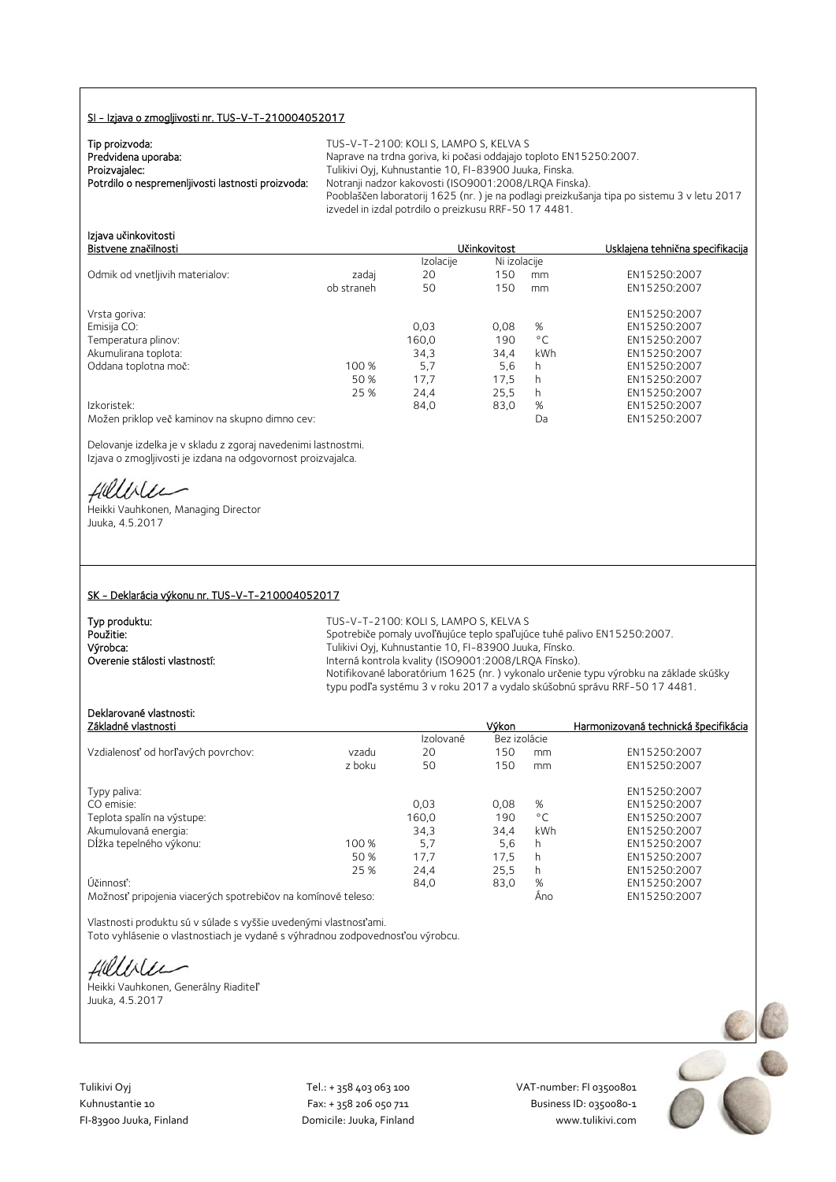# SI - Izjava o zmogljivosti nr. TUS-V-T-210004052017

| Tip proizvoda:                                    |  |
|---------------------------------------------------|--|
| Predvidena uporaba:                               |  |
| Proizvajalec:                                     |  |
| Potrdilo o nespremenljivosti lastnosti proizvoda: |  |
|                                                   |  |

TUS-V-T-2100: KOLI S, LAMPO S, KELVA S Naprave na trdna goriva, ki počasi oddajajo toploto EN15250:2007. rulikivi Oyj, Kuhnustantie 10, FI-83900 Juuka, Finska. Potrdilo o nespremenljivosti lastnosti proizvoda: Notranji nadzor kakovosti (ISO9001:2008/LRQA Finska). Pooblaščen laboratorij 1625 (nr. ) je na podlagi preizkušanja tipa po sistemu 3 v letu 2017 izvedel in izdal potrdilo o preizkusu RRF-50 17 4481.

96 EN15250:2007<br>Da EN15250:2007

| Izjava učinkovitosti<br>Bistvene značilnosti |            | <b>Učinkovitost</b> |              |              | Usklajena tehnična specifikacija |
|----------------------------------------------|------------|---------------------|--------------|--------------|----------------------------------|
|                                              |            | Izolacije           | Ni izolacije |              |                                  |
| Odmik od vnetljivih materialov:              | zadaj      | 20                  | 150          | mm           | EN15250:2007                     |
|                                              | ob straneh | 50                  | 150          | mm           | EN15250:2007                     |
| Vrsta goriva:                                |            |                     |              |              | EN15250:2007                     |
| Emisija CO:                                  |            | 0.03                | 0.08         | %            | EN15250:2007                     |
| Temperatura plinov:                          |            | 160,0               | 190          | $^{\circ}$ C | EN15250:2007                     |
| Akumulirana toplota:                         |            | 34,3                | 34,4         | kWh          | EN15250:2007                     |
| Oddana toplotna moč:                         | 100 %      | 5.7                 | 5,6          | h            | EN15250:2007                     |
|                                              | 50 %       | 17.7                | 17.5         | h            | EN15250:2007                     |
|                                              | 25 %       | 24.4                | 25,5         | h            | EN15250:2007                     |

25 % 24,4 25,5 h EN15250:2007<br>25,6 kind B4,0 83,0 % EN15250:2007 83,0 % Možen priklop več kaminov na skupno dimno cev:

Delovanje izdelka je v skladu z zgoraj navedenimi lastnostmi. Izjava o zmogljivosti je izdana na odgovornost proizvajalca.

fillble

Heikki Vauhkonen, Managing Director Juuka, 4.5.2017

#### SK - Deklarácia výkonu nr. TUS-V-T-210004052017

| Typ produktu:                 | TUS-V-T-2100: KOLI S. LAMPO S. KELVA S                                               |
|-------------------------------|--------------------------------------------------------------------------------------|
| Použitie:                     | Spotrebiče pomaly uvoľňujúce teplo spaľujúce tuhé palivo EN15250:2007.               |
| Výrobca:                      | Tulikivi Oyi, Kuhnustantie 10, FI-83900 Juuka, Fínsko.                               |
| Overenie stálosti vlastností: | Interná kontrola kvality (ISO9001:2008/LROA Fínsko).                                 |
|                               | Notifikované laboratórium 1625 (nr.) vykonalo určenie typu výrobku na základe skúšky |
|                               | typu podľa systému 3 v roku 2017 a vydalo skúšobnú správu RRF-50 17 4481.            |

# Deklarované vlastnosti:

| Základné vlastnosti                                          |        |           | Výkon        |              | Harmonizovaná technická špecifikácia |
|--------------------------------------------------------------|--------|-----------|--------------|--------------|--------------------------------------|
|                                                              |        | Izolované | Bez izolácie |              |                                      |
| Vzdialenosť od horľavých povrchov:                           | vzadu  | 20        | 150          | mm           | EN15250:2007                         |
|                                                              | z boku | 50        | 150          | mm           | EN15250:2007                         |
| Typy paliva:                                                 |        |           |              |              | EN15250:2007                         |
| CO emisie:                                                   |        | 0,03      | 0.08         | %            | EN15250:2007                         |
| Teplota spalín na výstupe:                                   |        | 160,0     | 190          | $^{\circ}$ C | EN15250:2007                         |
| Akumulovaná energia:                                         |        | 34.3      | 34.4         | kWh          | EN15250:2007                         |
| Dĺžka tepelného výkonu:                                      | 100 %  | 5.7       | 5,6          | h            | EN15250:2007                         |
|                                                              | 50 %   | 17,7      | 17,5         | h            | EN15250:2007                         |
|                                                              | 25 %   | 24,4      | 25,5         | h            | EN15250:2007                         |
| Účinnosť:                                                    |        | 84.0      | 83,0         | %            | EN15250:2007                         |
| Možnosť pripojenia viacerých spotrebičov na komínové teleso: |        |           |              | Ano          | EN15250:2007                         |

Vlastnosti produktu sú v súlade s vyššie uvedenými vlastnosťami. Toto vyhlásenie o vlastnostiach je vydané s výhradnou zodpovednosťou výrobcu.

fillblu

Heikki Vauhkonen, Generálny Riaditeľ Juuka, 4.5.2017

Tulikivi Oyj Tel.: + 358 403 063 100 VAT‐number: FI 03500801